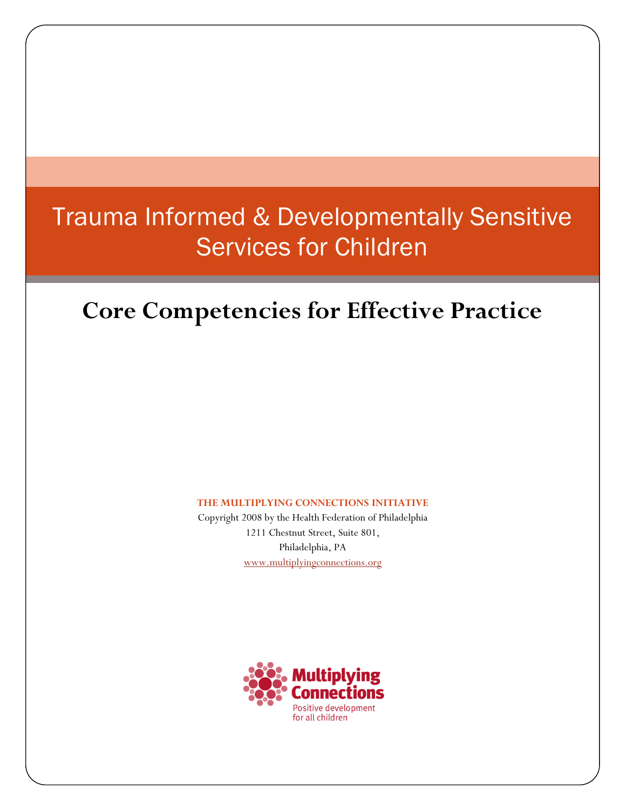# Trauma Informed & Developmentally Sensitive Services for Children

# **Core Competencies for Effective Practice**

**THE MULTIPLYING CONNECTIONS INITIATIVE** 

Copyright 2008 by the Health Federation of Philadelphia 1211 Chestnut Street, Suite 801, Philadelphia, PA www.multiplyingconnections.org

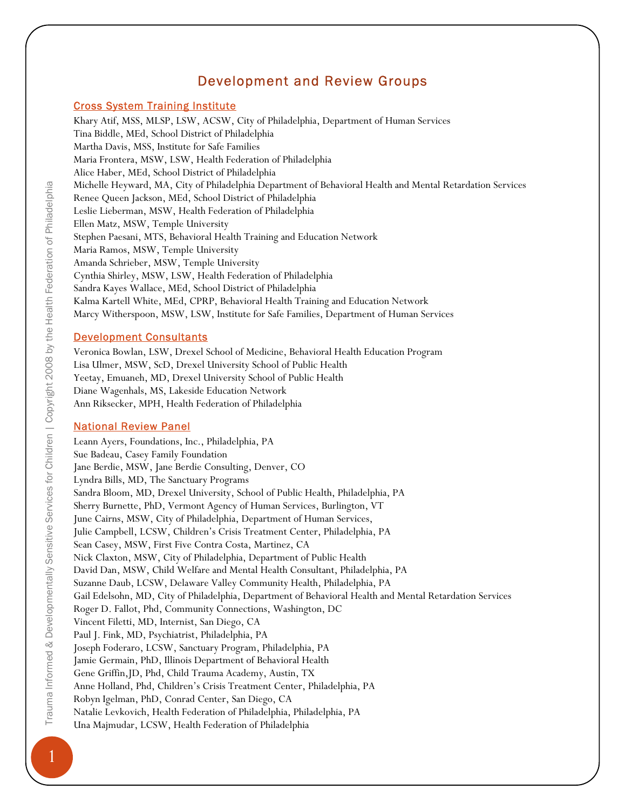# Development and Review Groups

### Cross System Training Institute

Khary Atif, MSS, MLSP, LSW, ACSW, City of Philadelphia, Department of Human Services Tina Biddle, MEd, School District of Philadelphia Martha Davis, MSS, Institute for Safe Families Maria Frontera, MSW, LSW, Health Federation of Philadelphia Alice Haber, MEd, School District of Philadelphia Michelle Heyward, MA, City of Philadelphia Department of Behavioral Health and Mental Retardation Services Renee Queen Jackson, MEd, School District of Philadelphia Leslie Lieberman, MSW, Health Federation of Philadelphia Ellen Matz, MSW, Temple University Stephen Paesani, MTS, Behavioral Health Training and Education Network Maria Ramos, MSW, Temple University Amanda Schrieber, MSW, Temple University Cynthia Shirley, MSW, LSW, Health Federation of Philadelphia Sandra Kayes Wallace, MEd, School District of Philadelphia Kalma Kartell White, MEd, CPRP, Behavioral Health Training and Education Network Marcy Witherspoon, MSW, LSW, Institute for Safe Families, Department of Human Services

### Development Consultants

Veronica Bowlan, LSW, Drexel School of Medicine, Behavioral Health Education Program Lisa Ulmer, MSW, ScD, Drexel University School of Public Health Yeetay, Emuaneh, MD, Drexel University School of Public Health Diane Wagenhals, MS, Lakeside Education Network Ann Riksecker, MPH, Health Federation of Philadelphia

### National Review Panel

Leann Ayers, Foundations, Inc., Philadelphia, PA Sue Badeau, Casey Family Foundation Jane Berdie, MSW, Jane Berdie Consulting, Denver, CO Lyndra Bills, MD, The Sanctuary Programs Sandra Bloom, MD, Drexel University, School of Public Health, Philadelphia, PA Sherry Burnette, PhD, Vermont Agency of Human Services, Burlington, VT June Cairns, MSW, City of Philadelphia, Department of Human Services, Julie Campbell, LCSW, Children's Crisis Treatment Center, Philadelphia, PA Sean Casey, MSW, First Five Contra Costa, Martinez, CA Nick Claxton, MSW, City of Philadelphia, Department of Public Health David Dan, MSW, Child Welfare and Mental Health Consultant, Philadelphia, PA Suzanne Daub, LCSW, Delaware Valley Community Health, Philadelphia, PA Gail Edelsohn, MD, City of Philadelphia, Department of Behavioral Health and Mental Retardation Services Roger D. Fallot, Phd, Community Connections, Washington, DC Vincent Filetti, MD, Internist, San Diego, CA Paul J. Fink, MD, Psychiatrist, Philadelphia, PA Joseph Foderaro, LCSW, Sanctuary Program, Philadelphia, PA Jamie Germain, PhD, Illinois Department of Behavioral Health Gene Griffin,JD, Phd, Child Trauma Academy, Austin, TX Anne Holland, Phd, Children's Crisis Treatment Center, Philadelphia, PA Robyn Igelman, PhD, Conrad Center, San Diego, CA Natalie Levkovich, Health Federation of Philadelphia, Philadelphia, PA Una Majmudar, LCSW, Health Federation of Philadelphia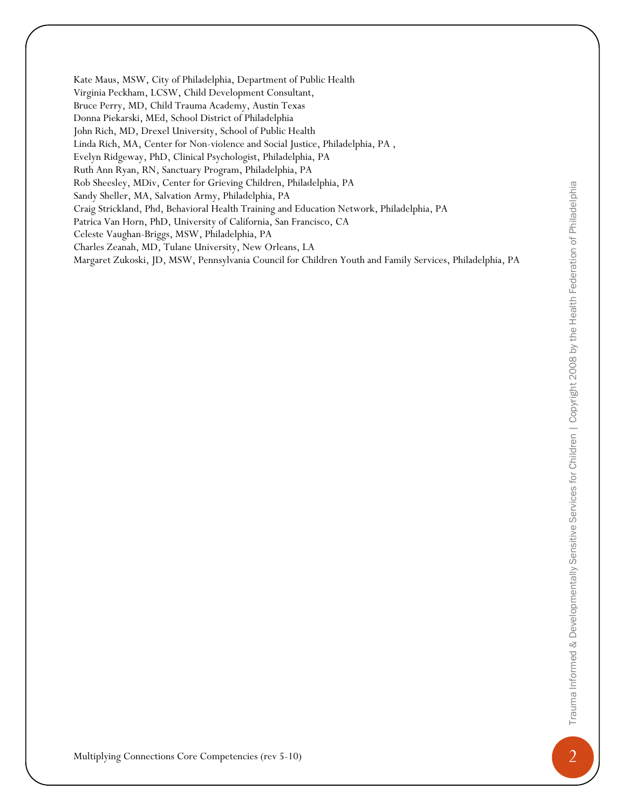Hos Novely, MTw, Center or George Colebera, Publishelphia, PA<br>
Multiplying Core Competencies (Point Point Point Point Point Point Point Point Point Point Point Point Point<br>
Children Point Point Point Point Point Point Poin Kate Maus, MSW, City of Philadelphia, Department of Public Health Virginia Peckham, LCSW, Child Development Consultant, Bruce Perry, MD, Child Trauma Academy, Austin Texas Donna Piekarski, MEd, School District of Philadelphia John Rich, MD, Drexel University, School of Public Health Linda Rich, MA, Center for Non-violence and Social Justice, Philadelphia, PA , Evelyn Ridgeway, PhD, Clinical Psychologist, Philadelphia, PA Ruth Ann Ryan, RN, Sanctuary Program, Philadelphia, PA Rob Sheesley, MDiv, Center for Grieving Children, Philadelphia, PA Sandy Sheller, MA, Salvation Army, Philadelphia, PA Craig Strickland, Phd, Behavioral Health Training and Education Network, Philadelphia, PA Patrica Van Horn, PhD, University of California, San Francisco, CA Celeste Vaughan-Briggs, MSW, Philadelphia, PA Charles Zeanah, MD, Tulane University, New Orleans, LA Margaret Zukoski, JD, MSW, Pennsylvania Council for Children Youth and Family Services, Philadelphia, PA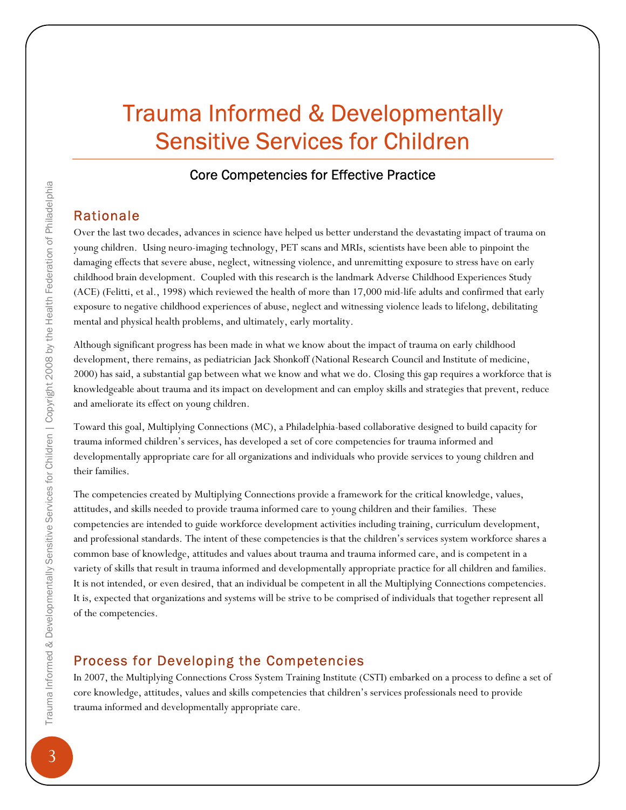# Trauma Informed & Developmentally Sensitive Services for Children

### Core Competencies for Effective Practice

### Rationale

Over the last two decades, advances in science have helped us better understand the devastating impact of trauma on young children. Using neuro-imaging technology, PET scans and MRIs, scientists have been able to pinpoint the damaging effects that severe abuse, neglect, witnessing violence, and unremitting exposure to stress have on early childhood brain development. Coupled with this research is the landmark Adverse Childhood Experiences Study (ACE) (Felitti, et al., 1998) which reviewed the health of more than 17,000 mid-life adults and confirmed that early exposure to negative childhood experiences of abuse, neglect and witnessing violence leads to lifelong, debilitating mental and physical health problems, and ultimately, early mortality.

Although significant progress has been made in what we know about the impact of trauma on early childhood development, there remains, as pediatrician Jack Shonkoff (National Research Council and Institute of medicine, 2000) has said, a substantial gap between what we know and what we do. Closing this gap requires a workforce that is knowledgeable about trauma and its impact on development and can employ skills and strategies that prevent, reduce and ameliorate its effect on young children.

Toward this goal, Multiplying Connections (MC), a Philadelphia-based collaborative designed to build capacity for trauma informed children's services, has developed a set of core competencies for trauma informed and developmentally appropriate care for all organizations and individuals who provide services to young children and their families.

The competencies created by Multiplying Connections provide a framework for the critical knowledge, values, attitudes, and skills needed to provide trauma informed care to young children and their families. These competencies are intended to guide workforce development activities including training, curriculum development, and professional standards. The intent of these competencies is that the children's services system workforce shares a common base of knowledge, attitudes and values about trauma and trauma informed care, and is competent in a variety of skills that result in trauma informed and developmentally appropriate practice for all children and families. It is not intended, or even desired, that an individual be competent in all the Multiplying Connections competencies. It is, expected that organizations and systems will be strive to be comprised of individuals that together represent all of the competencies.

### Process for Developing the Competencies

In 2007, the Multiplying Connections Cross System Training Institute (CSTI) embarked on a process to define a set of core knowledge, attitudes, values and skills competencies that children's services professionals need to provide trauma informed and developmentally appropriate care.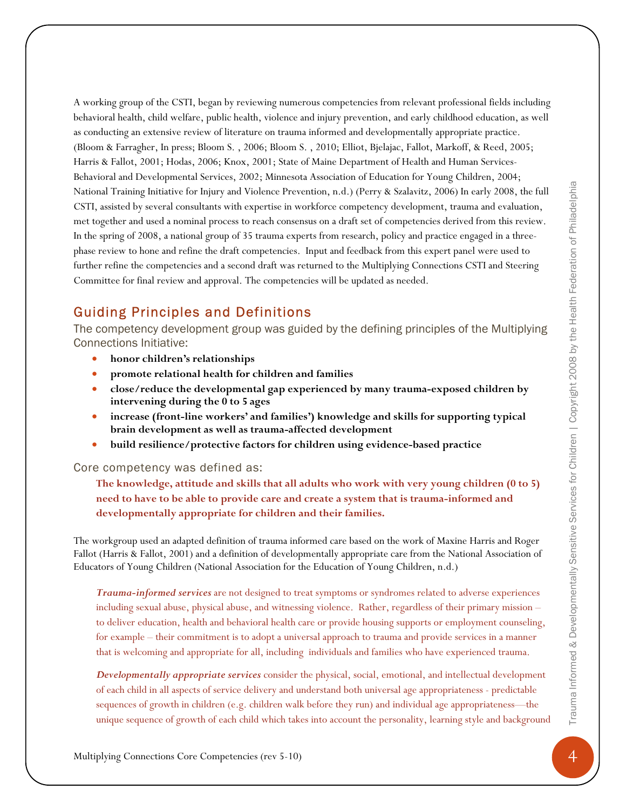Meanol Trauma Informed Rules and Core Core Core Competencies (revisions Connections Core Competency (revisions of the Competency of the Competency of Connections for Connections (revisions of Competencies (rev 4) and the A working group of the CSTI, began by reviewing numerous competencies from relevant professional fields including behavioral health, child welfare, public health, violence and injury prevention, and early childhood education, as well as conducting an extensive review of literature on trauma informed and developmentally appropriate practice. (Bloom & Farragher, In press; Bloom S. , 2006; Bloom S. , 2010; Elliot, Bjelajac, Fallot, Markoff, & Reed, 2005; Harris & Fallot, 2001; Hodas, 2006; Knox, 2001; State of Maine Department of Health and Human Services-Behavioral and Developmental Services, 2002; Minnesota Association of Education for Young Children, 2004; National Training Initiative for Injury and Violence Prevention, n.d.) (Perry & Szalavitz, 2006) In early 2008, the full CSTI, assisted by several consultants with expertise in workforce competency development, trauma and evaluation, met together and used a nominal process to reach consensus on a draft set of competencies derived from this review. In the spring of 2008, a national group of 35 trauma experts from research, policy and practice engaged in a threephase review to hone and refine the draft competencies. Input and feedback from this expert panel were used to further refine the competencies and a second draft was returned to the Multiplying Connections CSTI and Steering Committee for final review and approval. The competencies will be updated as needed.

## Guiding Principles and Definitions

The competency development group was guided by the defining principles of the Multiplying Connections Initiative:

- **honor children's relationships**
- **promote relational health for children and families**
- **close/reduce the developmental gap experienced by many trauma-exposed children by intervening during the 0 to 5 ages**
- **increase (front-line workers' and families') knowledge and skills for supporting typical brain development as well as trauma-affected development**
- **build resilience/protective factors for children using evidence-based practice**

#### Core competency was defined as:

**The knowledge, attitude and skills that all adults who work with very young children (0 to 5) need to have to be able to provide care and create a system that is trauma-informed and developmentally appropriate for children and their families.** 

The workgroup used an adapted definition of trauma informed care based on the work of Maxine Harris and Roger Fallot (Harris & Fallot, 2001) and a definition of developmentally appropriate care from the National Association of Educators of Young Children (National Association for the Education of Young Children, n.d.)

*Trauma-informed services* are not designed to treat symptoms or syndromes related to adverse experiences including sexual abuse, physical abuse, and witnessing violence. Rather, regardless of their primary mission – to deliver education, health and behavioral health care or provide housing supports or employment counseling, for example – their commitment is to adopt a universal approach to trauma and provide services in a manner that is welcoming and appropriate for all, including individuals and families who have experienced trauma.

*Developmentally appropriate services* consider the physical, social, emotional, and intellectual development of each child in all aspects of service delivery and understand both universal age appropriateness - predictable sequences of growth in children (e.g. children walk before they run) and individual age appropriateness—the unique sequence of growth of each child which takes into account the personality, learning style and background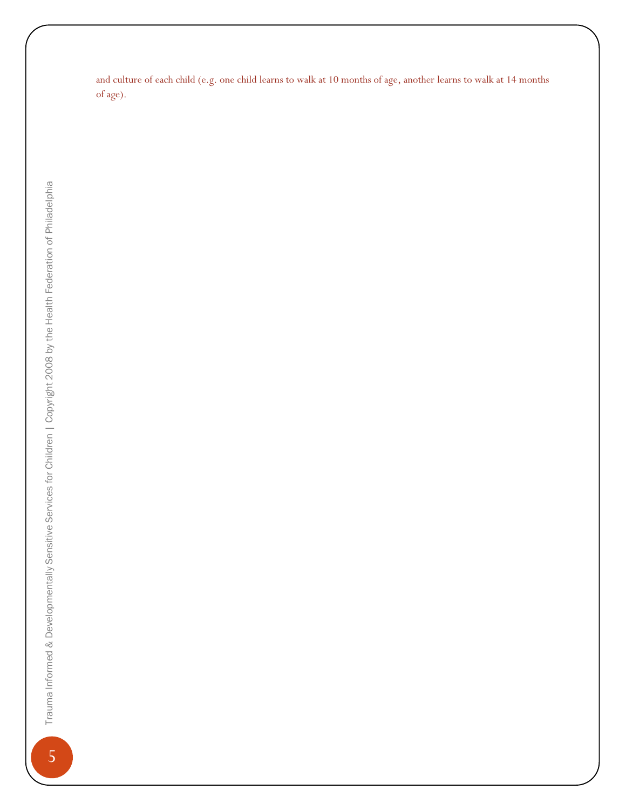and culture of each child (e.g. one child learns to walk at 10 months of age, another learns to walk at 14 months of age).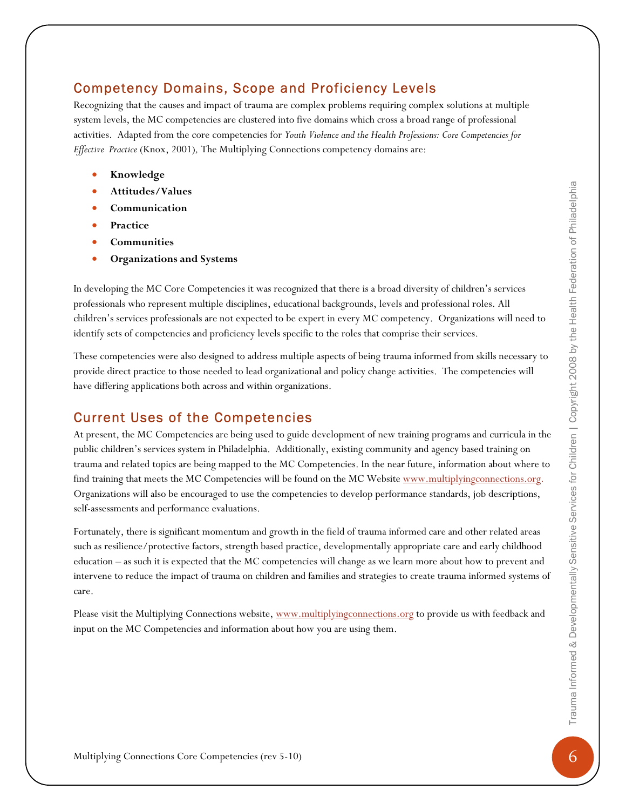## Competency Domains, Scope and Proficiency Levels

Recognizing that the causes and impact of trauma are complex problems requiring complex solutions at multiple system levels, the MC competencies are clustered into five domains which cross a broad range of professional activities. Adapted from the core competencies for *Youth Violence and the Health Professions: Core Competencies for Effective Practice* (Knox, 2001)*,* The Multiplying Connections competency domains are:

- **Knowledge**
- **Attitudes/Values**
- **Communication**
- **Practice**
- **Communities**
- **Organizations and Systems**

In developing the MC Core Competencies it was recognized that there is a broad diversity of children's services professionals who represent multiple disciplines, educational backgrounds, levels and professional roles. All children's services professionals are not expected to be expert in every MC competency. Organizations will need to identify sets of competencies and proficiency levels specific to the roles that comprise their services.

These competencies were also designed to address multiple aspects of being trauma informed from skills necessary to provide direct practice to those needed to lead organizational and policy change activities. The competencies will have differing applications both across and within organizations.

# Current Uses of the Competencies

Antitudes /Yahues <br> **Communities**<br> **Constraines and Systems**<br> **Constraines and Systems**<br> **Communities**<br> **Communities**<br> **Organizations and Systems**<br> **Constraines**<br> **Constrained the foremerican functions contrast for Compe** At present, the MC Competencies are being used to guide development of new training programs and curricula in the public children's services system in Philadelphia. Additionally, existing community and agency based training on trauma and related topics are being mapped to the MC Competencies. In the near future, information about where to find training that meets the MC Competencies will be found on the MC Website www.multiplyingconnections.org. Organizations will also be encouraged to use the competencies to develop performance standards, job descriptions, self-assessments and performance evaluations.

Fortunately, there is significant momentum and growth in the field of trauma informed care and other related areas such as resilience/protective factors, strength based practice, developmentally appropriate care and early childhood education – as such it is expected that the MC competencies will change as we learn more about how to prevent and intervene to reduce the impact of trauma on children and families and strategies to create trauma informed systems of care.

Please visit the Multiplying Connections website, www.multiplyingconnections.org to provide us with feedback and input on the MC Competencies and information about how you are using them.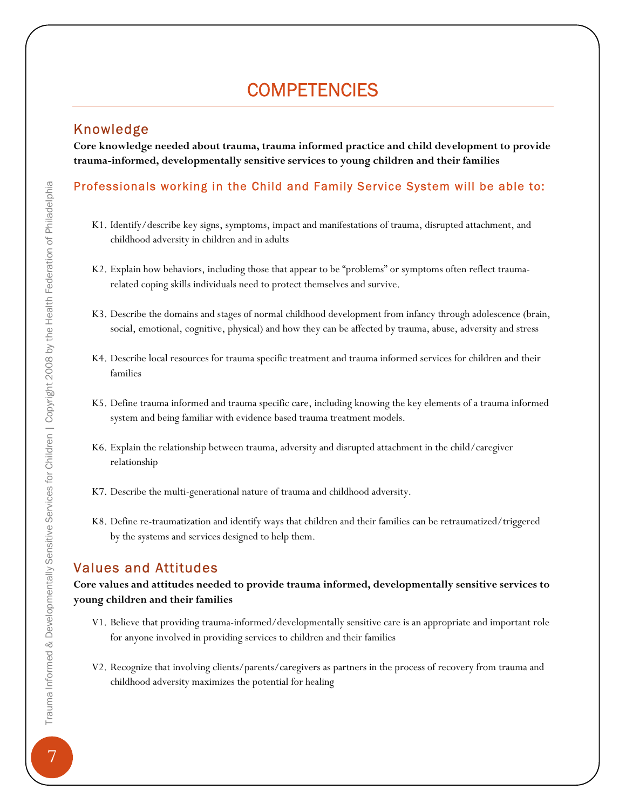# **COMPETENCIES**

### Knowledge

**Core knowledge needed about trauma, trauma informed practice and child development to provide trauma-informed, developmentally sensitive services to young children and their families** 

### Professionals working in the Child and Family Service System will be able to:

- K1. Identify/describe key signs, symptoms, impact and manifestations of trauma, disrupted attachment, and childhood adversity in children and in adults
- K2. Explain how behaviors, including those that appear to be "problems" or symptoms often reflect traumarelated coping skills individuals need to protect themselves and survive.
- K3. Describe the domains and stages of normal childhood development from infancy through adolescence (brain, social, emotional, cognitive, physical) and how they can be affected by trauma, abuse, adversity and stress
- K4. Describe local resources for trauma specific treatment and trauma informed services for children and their families
- K5. Define trauma informed and trauma specific care, including knowing the key elements of a trauma informed system and being familiar with evidence based trauma treatment models.
- K6. Explain the relationship between trauma, adversity and disrupted attachment in the child/caregiver relationship
- K7. Describe the multi-generational nature of trauma and childhood adversity.
- K8. Define re-traumatization and identify ways that children and their families can be retraumatized/triggered by the systems and services designed to help them.

### Values and Attitudes

### **Core values and attitudes needed to provide trauma informed, developmentally sensitive services to young children and their families**

- V1. Believe that providing trauma-informed/developmentally sensitive care is an appropriate and important role for anyone involved in providing services to children and their families
- V2. Recognize that involving clients/parents/caregivers as partners in the process of recovery from trauma and childhood adversity maximizes the potential for healing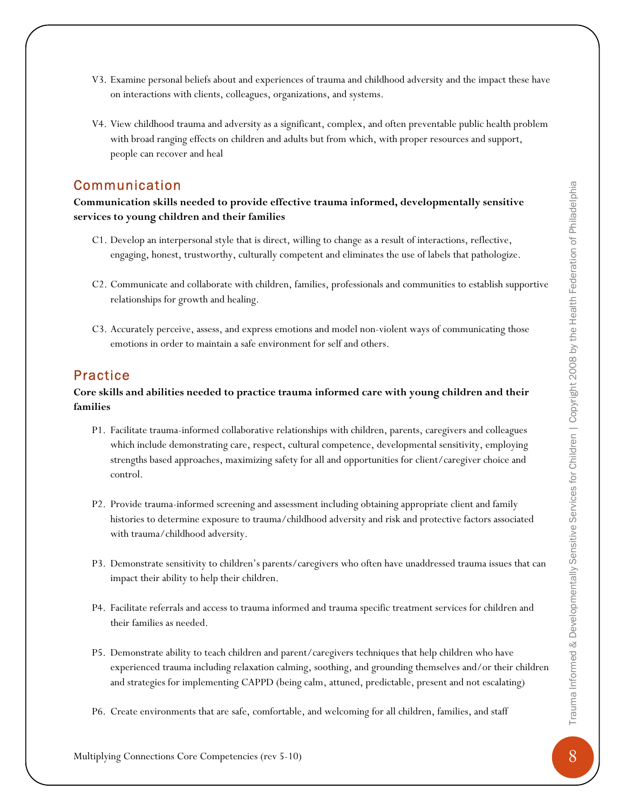- V3. Examine personal beliefs about and experiences of trauma and childhood adversity and the impact these have on interactions with clients, colleagues, organizations, and systems.
- V4. View childhood trauma and adversity as a significant, complex, and often preventable public health problem with broad ranging effects on children and adults but from which, with proper resources and support, people can recover and heal

### Communication

**Communication skills needed to provide effective trauma informed, developmentally sensitive services to young children and their families** 

- C1. Develop an interpersonal style that is direct, willing to change as a result of interactions, reflective, engaging, honest, trustworthy, culturally competent and eliminates the use of labels that pathologize.
- C2. Communicate and collaborate with children, families, professionals and communities to establish supportive relationships for growth and healing.
- C3. Accurately perceive, assess, and express emotions and model non-violent ways of communicating those emotions in order to maintain a safe environment for self and others.

### Practice

### **Core skills and abilities needed to practice trauma informed care with young children and their families**

- Multiplying Connections Core Competencies (rev 5-10) 8 Trauma Informed & Developmentally Sensitive Services for Children | Copyright 2008 by the Health Federation of Philadelphia P1. Facilitate trauma-informed collaborative relationships with children, parents, caregivers and colleagues which include demonstrating care, respect, cultural competence, developmental sensitivity, employing strengths based approaches, maximizing safety for all and opportunities for client/caregiver choice and control.
	- P2. Provide trauma-informed screening and assessment including obtaining appropriate client and family histories to determine exposure to trauma/childhood adversity and risk and protective factors associated with trauma/childhood adversity.
	- P3. Demonstrate sensitivity to children's parents/caregivers who often have unaddressed trauma issues that can impact their ability to help their children.
	- P4. Facilitate referrals and access to trauma informed and trauma specific treatment services for children and their families as needed.
	- P5. Demonstrate ability to teach children and parent/caregivers techniques that help children who have experienced trauma including relaxation calming, soothing, and grounding themselves and/or their children and strategies for implementing CAPPD (being calm, attuned, predictable, present and not escalating)
	- P6. Create environments that are safe, comfortable, and welcoming for all children, families, and staff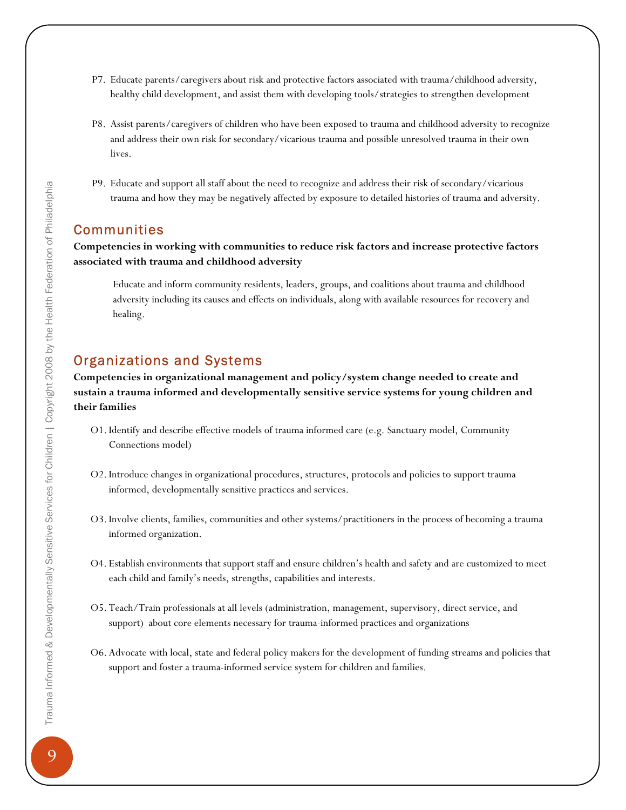- P7. Educate parents/caregivers about risk and protective factors associated with trauma/childhood adversity, healthy child development, and assist them with developing tools/strategies to strengthen development
- P8. Assist parents/caregivers of children who have been exposed to trauma and childhood adversity to recognize and address their own risk for secondary/vicarious trauma and possible unresolved trauma in their own lives.
- P9. Educate and support all staff about the need to recognize and address their risk of secondary/vicarious trauma and how they may be negatively affected by exposure to detailed histories of trauma and adversity.

### **Communities**

### **Competencies in working with communities to reduce risk factors and increase protective factors associated with trauma and childhood adversity**

Educate and inform community residents, leaders, groups, and coalitions about trauma and childhood adversity including its causes and effects on individuals, along with available resources for recovery and healing.

### Organizations and Systems

**Competencies in organizational management and policy/system change needed to create and sustain a trauma informed and developmentally sensitive service systems for young children and their families** 

- O1. Identify and describe effective models of trauma informed care (e.g. Sanctuary model, Community Connections model)
- O2. Introduce changes in organizational procedures, structures, protocols and policies to support trauma informed, developmentally sensitive practices and services.
- O3. Involve clients, families, communities and other systems/practitioners in the process of becoming a trauma informed organization.
- O4. Establish environments that support staff and ensure children's health and safety and are customized to meet each child and family's needs, strengths, capabilities and interests.
- O5. Teach/Train professionals at all levels (administration, management, supervisory, direct service, and support) about core elements necessary for trauma-informed practices and organizations
- O6. Advocate with local, state and federal policy makers for the development of funding streams and policies that support and foster a trauma-informed service system for children and families.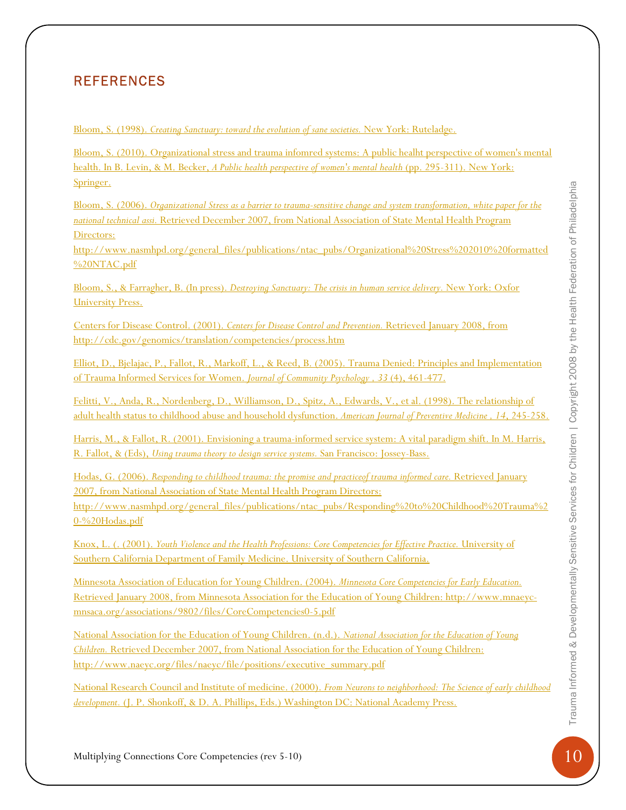## **REFERENCES**

Bloom, S. (1998). *Creating Sanctuary: toward the evolution of sane societies.* New York: Ruteladge.

Bloom, S. (2010). Organizational stress and trauma infomred systems: A public healht perspective of women's mental health. In B. Levin, & M. Becker, *A Public health perspective of women's mental health* (pp. 295-311). New York: Springer.

Bloom, S. (2006). *Organizational Stress as a barrier to trauma-sensitive change and system transformation, white paper for the national technical assi.* Retrieved December 2007, from National Association of State Mental Health Program Directors:

http://www.nasmhpd.org/general\_files/publications/ntac\_pubs/Organizational%20Stress%202010%20formatted %20NTAC.pdf

Bloom, S., & Farragher, B. (In press). *Destroying Sanctuary: The crisis in human service delivery.* New York: Oxfor University Press.

Centers for Disease Control. (2001). *Centers for Disease Control and Prevention.* Retrieved January 2008, from http://cdc.gov/genomics/translation/competencies/process.htm

Elliot, D., Bjelajac, P., Fallot, R., Markoff, L., & Reed, B. (2005). Trauma Denied: Principles and Implementation of Trauma Informed Services for Women. *Journal of Community Psychology , 33* (4), 461-477.

Felitti, V., Anda, R., Nordenberg, D., Williamson, D., Spitz, A., Edwards, V., et al. (1998). The relationship of adult health status to childhood abuse and household dysfunction. *American Journal of Preventive Medicine , 14*, 245-258.

Harris, M., & Fallot, R. (2001). Envisioning a trauma-informed service system: A vital paradigm shift. In M. Harris, R. Fallot, & (Eds), *Using trauma theory to design service systems.* San Francisco: Jossey-Bass.

Similar Coloris, Connections Core Competencies (rev 5-10) 10 Transmitted Connections Core Competencies (rev 5-10) 10 Transmitted Revenue Connections Connections Core Connections Core Competencies (rev 5-10) 10 Transmitted Hodas, G. (2006). *Responding to childhood trauma: the promise and practiceof trauma informed care.* Retrieved January 2007, from National Association of State Mental Health Program Directors: http://www.nasmhpd.org/general\_files/publications/ntac\_pubs/Responding%20to%20Childhood%20Trauma%2 0-%20Hodas.pdf

Knox, L. (. (2001). *Youth Violence and the Health Professions: Core Competencies for Effective Practice.* University of Southern California Department of Family Medicine. University of Southern California.

Minnesota Association of Education for Young Children. (2004). *Minnesota Core Competencies for Early Education.* Retrieved January 2008, from Minnesota Association for the Education of Young Children: http://www.mnaeycmnsaca.org/associations/9802/files/CoreCompetencies0-5.pdf

National Association for the Education of Young Children. (n.d.). *National Association for the Education of Young Children.* Retrieved December 2007, from National Association for the Education of Young Children: http://www.naeyc.org/files/naeyc/file/positions/executive\_summary.pdf

National Research Council and Institute of medicine. (2000). *From Neurons to neighborhood: The Science of early childhood development.* (J. P. Shonkoff, & D. A. Phillips, Eds.) Washington DC: National Academy Press.